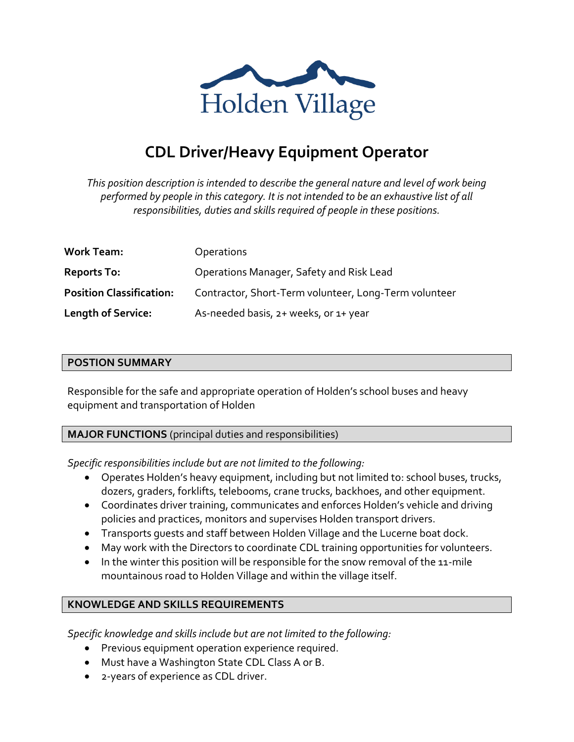

# **CDL Driver/Heavy Equipment Operator**

*This position description is intended to describe the general nature and level of work being performed by people in this category. It is not intended to be an exhaustive list of all responsibilities, duties and skills required of people in these positions.*

| <b>Work Team:</b>               | <b>Operations</b>                                     |
|---------------------------------|-------------------------------------------------------|
| <b>Reports To:</b>              | Operations Manager, Safety and Risk Lead              |
| <b>Position Classification:</b> | Contractor, Short-Term volunteer, Long-Term volunteer |
| <b>Length of Service:</b>       | As-needed basis, 2+ weeks, or 1+ year                 |

#### **POSTION SUMMARY**

Responsible for the safe and appropriate operation of Holden's school buses and heavy equipment and transportation of Holden

#### **MAJOR FUNCTIONS** (principal duties and responsibilities)

*Specific responsibilities include but are not limited to the following:*

- Operates Holden's heavy equipment, including but not limited to: school buses, trucks, dozers, graders, forklifts, telebooms, crane trucks, backhoes, and other equipment.
- Coordinates driver training, communicates and enforces Holden's vehicle and driving policies and practices, monitors and supervises Holden transport drivers.
- Transports guests and staff between Holden Village and the Lucerne boat dock.
- May work with the Directors to coordinate CDL training opportunities for volunteers.
- In the winter this position will be responsible for the snow removal of the 11-mile mountainous road to Holden Village and within the village itself.

## **KNOWLEDGE AND SKILLS REQUIREMENTS**

*Specific knowledge and skills include but are not limited to the following:*

- Previous equipment operation experience required.
- Must have a Washington State CDL Class A or B.
- 2-years of experience as CDL driver.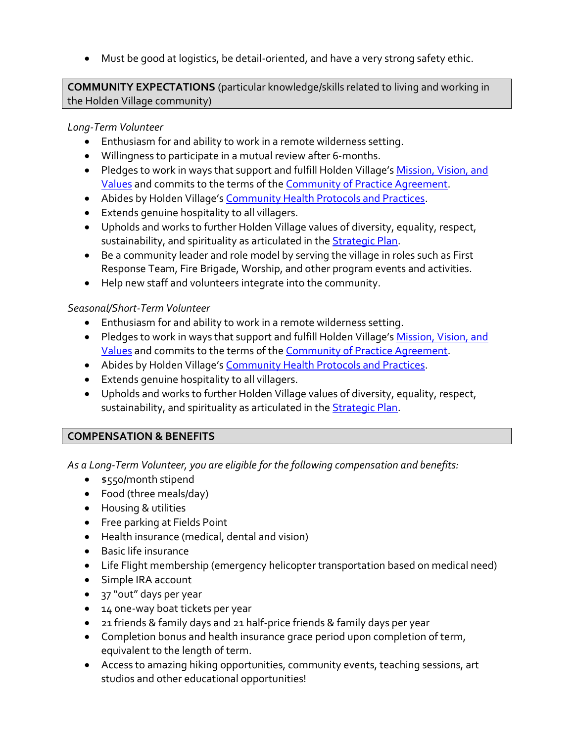• Must be good at logistics, be detail-oriented, and have a very strong safety ethic.

**COMMUNITY EXPECTATIONS** (particular knowledge/skills related to living and working in the Holden Village community)

#### *Long-Term Volunteer*

- Enthusiasm for and ability to work in a remote wilderness setting.
- Willingness to participate in a mutual review after 6-months.
- Pledges to work in ways that support and fulfill Holden Village's [Mission, Vision, and](http://www.holdenvillage.org/about-us/mission-core-values/)  [Values](http://www.holdenvillage.org/about-us/mission-core-values/) and commits to the terms of the [Community of Practice Agreement.](http://www.holdenvillage.org/files/3616/4220/9744/Holden_Village_Community_of_Practice.pdf)
- Abides by Holden Village's [Community Health Protocols and Practices.](http://www.holdenvillage.org/visit/community-health/)
- Extends genuine hospitality to all villagers.
- Upholds and works to further Holden Village values of diversity, equality, respect, sustainability, and spirituality as articulated in the **Strategic Plan**.
- Be a community leader and role model by serving the village in roles such as First Response Team, Fire Brigade, Worship, and other program events and activities.
- Help new staff and volunteers integrate into the community.

## *Seasonal/Short-Term Volunteer*

- Enthusiasm for and ability to work in a remote wilderness setting.
- Pledges to work in ways that support and fulfill Holden Village's [Mission, Vision, and](http://www.holdenvillage.org/about-us/mission-core-values/)  [Values](http://www.holdenvillage.org/about-us/mission-core-values/) and commits to the terms of the [Community of Practice Agreement.](http://www.holdenvillage.org/files/3616/4220/9744/Holden_Village_Community_of_Practice.pdf)
- Abides by Holden Village's [Community Health Protocols and Practices.](http://www.holdenvillage.org/visit/community-health/)
- Extends genuine hospitality to all villagers.
- Upholds and works to further Holden Village values of diversity, equality, respect, sustainability, and spirituality as articulated in th[e Strategic Plan.](http://www.holdenvillage.org/about-us/strategic-plan/)

## **COMPENSATION & BENEFITS**

*As a Long-Term Volunteer, you are eligible for the following compensation and benefits:*

- \$550/month stipend
- Food (three meals/day)
- Housing & utilities
- Free parking at Fields Point
- Health insurance (medical, dental and vision)
- Basic life insurance
- Life Flight membership (emergency helicopter transportation based on medical need)
- Simple IRA account
- 37 "out" days per year
- 14 one-way boat tickets per year
- 21 friends & family days and 21 half-price friends & family days per year
- Completion bonus and health insurance grace period upon completion of term, equivalent to the length of term.
- Access to amazing hiking opportunities, community events, teaching sessions, art studios and other educational opportunities!